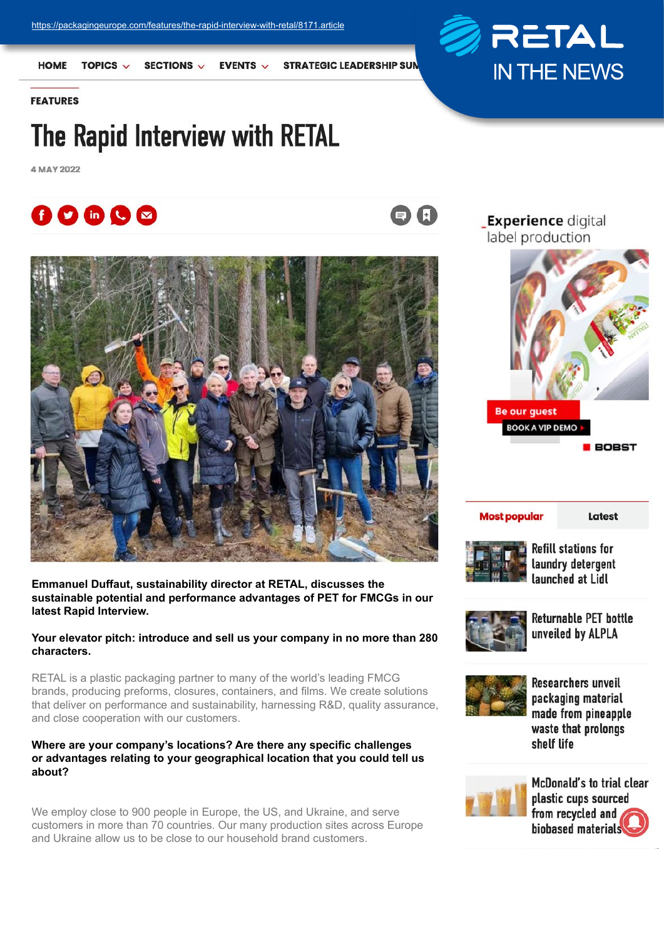

**HOME** TOPICS  $\vee$ 

SECTIONS V **EVENTS**  **STRATEGIC LEADERSHIP SUN** 

 $\begin{array}{c} \n \text{A} \n \end{array}$ 

**FEATURES** 

# The Rapid Interview with RETAL

4 MAY 2022





**Emmanuel Duffaut, sustainability director at RETAL, discusses the sustainable potential and performance advantages of PET for FMCGs in our latest Rapid Interview.**

**Your elevator pitch: introduce and sell us your company in no more than 280 characters.**

RETAL is a plastic packaging partner to many of the world's leading FMCG brands, producing preforms, closures, containers, and films. We create solutions that deliver on performance and sustainability, harnessing R&D, quality assurance, and close cooperation with our customers.

### **Where are your company's locations? Are there any specific challenges or advantages relating to your geographical location that you could tell us about?**

We employ close to 900 people in Europe, the US, and Ukraine, and serve customers in more than 70 countries. Our many production sites across Europe and Ukraine allow us to be close to our household brand customers.

**Experience digital** label production



#### **Most popular**

Latest



**Refill stations for** laundry detergent launched at Lidl



**Returnable PET bottle** unveiled by ALPLA



**Researchers unveil** packaging material made from pineapple waste that prolongs shelf life



McDonald's to trial clear plastic cups sourced from recycled and biobased materials